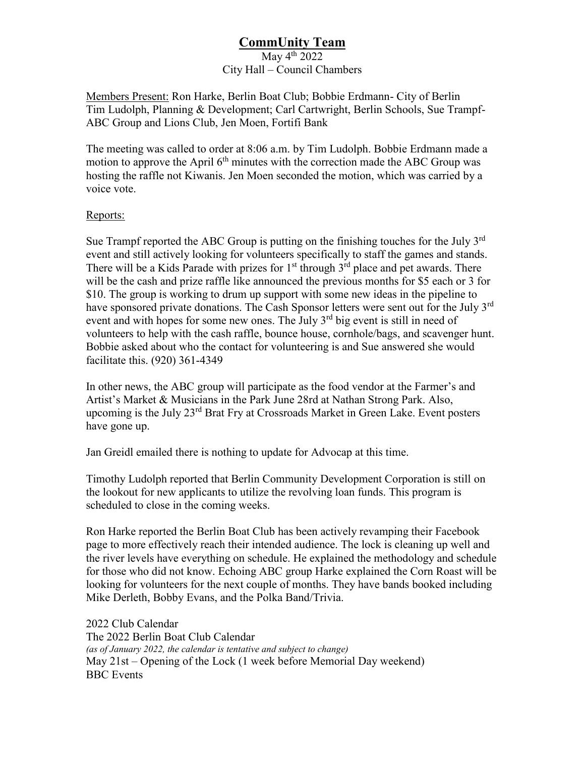## **CommUnity Team** May  $4^{\text{th}}$  2022 City Hall – Council Chambers

Members Present: Ron Harke, Berlin Boat Club; Bobbie Erdmann- City of Berlin Tim Ludolph, Planning & Development; Carl Cartwright, Berlin Schools, Sue Trampf-ABC Group and Lions Club, Jen Moen, Fortifi Bank

The meeting was called to order at 8:06 a.m. by Tim Ludolph. Bobbie Erdmann made a motion to approve the April  $6<sup>th</sup>$  minutes with the correction made the ABC Group was hosting the raffle not Kiwanis. Jen Moen seconded the motion, which was carried by a voice vote.

## Reports:

Sue Trampf reported the ABC Group is putting on the finishing touches for the July  $3<sup>rd</sup>$ event and still actively looking for volunteers specifically to staff the games and stands. There will be a Kids Parade with prizes for  $1<sup>st</sup>$  through  $3<sup>rd</sup>$  place and pet awards. There will be the cash and prize raffle like announced the previous months for \$5 each or 3 for \$10. The group is working to drum up support with some new ideas in the pipeline to have sponsored private donations. The Cash Sponsor letters were sent out for the July 3<sup>rd</sup> event and with hopes for some new ones. The July 3<sup>rd</sup> big event is still in need of volunteers to help with the cash raffle, bounce house, cornhole/bags, and scavenger hunt. Bobbie asked about who the contact for volunteering is and Sue answered she would facilitate this. (920) 361-4349

In other news, the ABC group will participate as the food vendor at the Farmer's and Artist's Market & Musicians in the Park June 28rd at Nathan Strong Park. Also, upcoming is the July 23rd Brat Fry at Crossroads Market in Green Lake. Event posters have gone up.

Jan Greidl emailed there is nothing to update for Advocap at this time.

Timothy Ludolph reported that Berlin Community Development Corporation is still on the lookout for new applicants to utilize the revolving loan funds. This program is scheduled to close in the coming weeks.

Ron Harke reported the Berlin Boat Club has been actively revamping their Facebook page to more effectively reach their intended audience. The lock is cleaning up well and the river levels have everything on schedule. He explained the methodology and schedule for those who did not know. Echoing ABC group Harke explained the Corn Roast will be looking for volunteers for the next couple of months. They have bands booked including Mike Derleth, Bobby Evans, and the Polka Band/Trivia.

2022 Club Calendar The 2022 Berlin Boat Club Calendar *(as of January 2022, the calendar is tentative and subject to change)* May 21st – Opening of the Lock (1 week before Memorial Day weekend) BBC Events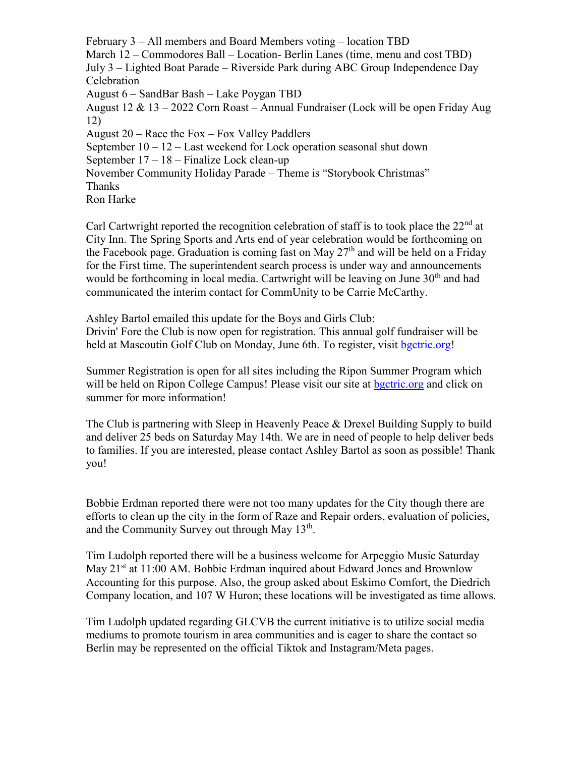February 3 – All members and Board Members voting – location TBD March 12 – Commodores Ball – Location- Berlin Lanes (time, menu and cost TBD) July 3 – Lighted Boat Parade – Riverside Park during ABC Group Independence Day Celebration August 6 – SandBar Bash – Lake Poygan TBD August 12 & 13 – 2022 Corn Roast – Annual Fundraiser (Lock will be open Friday Aug 12) August 20 – Race the Fox – Fox Valley Paddlers September  $10 - 12$  – Last weekend for Lock operation seasonal shut down September 17 – 18 – Finalize Lock clean-up November Community Holiday Parade – Theme is "Storybook Christmas" **Thanks** Ron Harke

Carl Cartwright reported the recognition celebration of staff is to took place the  $22<sup>nd</sup>$  at City Inn. The Spring Sports and Arts end of year celebration would be forthcoming on the Facebook page. Graduation is coming fast on May  $27<sup>th</sup>$  and will be held on a Friday for the First time. The superintendent search process is under way and announcements would be forthcoming in local media. Cartwright will be leaving on June  $30<sup>th</sup>$  and had communicated the interim contact for CommUnity to be Carrie McCarthy.

Ashley Bartol emailed this update for the Boys and Girls Club: Drivin' Fore the Club is now open for registration. This annual golf fundraiser will be held at Mascoutin Golf Club on Monday, June 6th. To register, visit [bgctric.org!](http://bgctric.org/)

Summer Registration is open for all sites including the Ripon Summer Program which will be held on Ripon College Campus! Please visit our site at [bgctric.org](http://bgctric.org/) and click on summer for more information!

The Club is partnering with Sleep in Heavenly Peace & Drexel Building Supply to build and deliver 25 beds on Saturday May 14th. We are in need of people to help deliver beds to families. If you are interested, please contact Ashley Bartol as soon as possible! Thank you!

Bobbie Erdman reported there were not too many updates for the City though there are efforts to clean up the city in the form of Raze and Repair orders, evaluation of policies, and the Community Survey out through May  $13<sup>th</sup>$ .

Tim Ludolph reported there will be a business welcome for Arpeggio Music Saturday May 21<sup>st</sup> at 11:00 AM. Bobbie Erdman inquired about Edward Jones and Brownlow Accounting for this purpose. Also, the group asked about Eskimo Comfort, the Diedrich Company location, and 107 W Huron; these locations will be investigated as time allows.

Tim Ludolph updated regarding GLCVB the current initiative is to utilize social media mediums to promote tourism in area communities and is eager to share the contact so Berlin may be represented on the official Tiktok and Instagram/Meta pages.